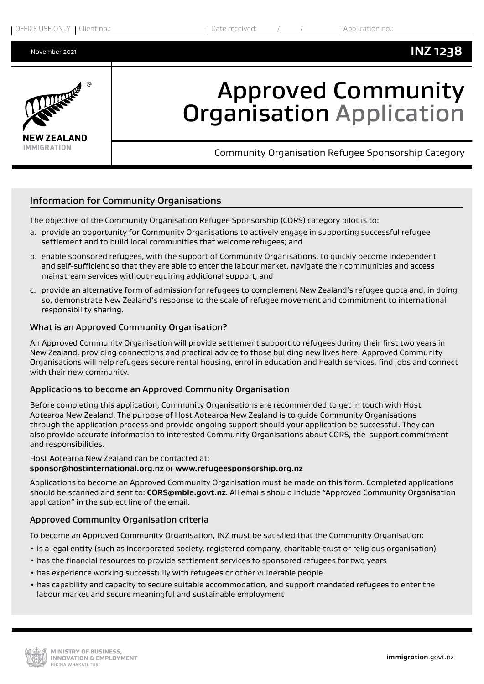

# Approved Community Organisation Application

Community Organisation Refugee Sponsorship Category

## Information for Community Organisations

The objective of the Community Organisation Refugee Sponsorship (CORS) category pilot is to:

- a. provide an opportunity for Community Organisations to actively engage in supporting successful refugee settlement and to build local communities that welcome refugees; and
- b. enable sponsored refugees, with the support of Community Organisations, to quickly become independent and self-sufficient so that they are able to enter the labour market, navigate their communities and access mainstream services without requiring additional support; and
- c. provide an alternative form of admission for refugees to complement New Zealand's refugee quota and, in doing so, demonstrate New Zealand's response to the scale of refugee movement and commitment to international responsibility sharing.

#### What is an Approved Community Organisation?

An Approved Community Organisation will provide settlement support to refugees during their first two years in New Zealand, providing connections and practical advice to those building new lives here. Approved Community Organisations will help refugees secure rental housing, enrol in education and health services, find jobs and connect with their new community.

#### Applications to become an Approved Community Organisation

Before completing this application, Community Organisations are recommended to get in touch with Host Aotearoa New Zealand. The purpose of Host Aotearoa New Zealand is to guide Community Organisations through the application process and provide ongoing support should your application be successful. They can also provide accurate information to interested Community Organisations about CORS, the support commitment and responsibilities.

Host Aotearoa New Zealand can be contacted at: **[sponsor@hostinternational.org.nz](mailto:sponsor%40hostinternational.org.nz?subject=)** or **[www.refugeesponsorship.org.nz](http://www.refugeesponsorship.org.nz)**

Applications to become an Approved Community Organisation must be made on this form. Completed applications should be scanned and sent to: **[CORS@mbi](mailto:CORS%40mbie.govt.nz?subject=)e.govt.nz**. All emails should include "Approved Community Organisation application" in the subject line of the email.

## Approved Community Organisation criteria

To become an Approved Community Organisation, INZ must be satisfied that the Community Organisation:

- is a legal entity (such as incorporated society, registered company, charitable trust or religious organisation)
- has the financial resources to provide settlement services to sponsored refugees for two years
- has experience working successfully with refugees or other vulnerable people
- has capability and capacity to secure suitable accommodation, and support mandated refugees to enter the labour market and secure meaningful and sustainable employment

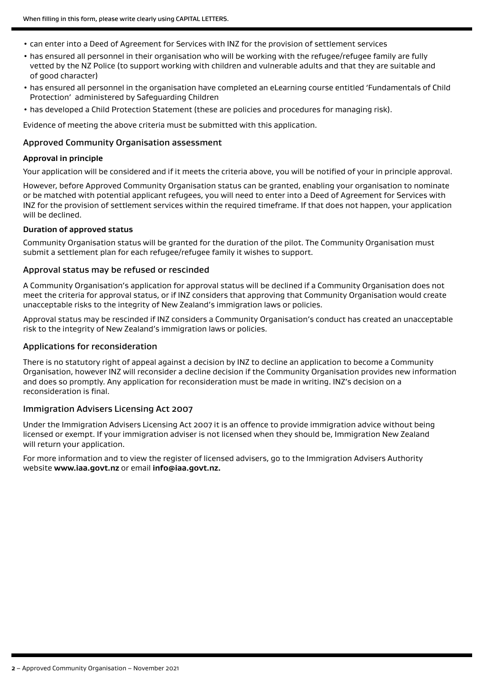- can enter into a Deed of Agreement for Services with INZ for the provision of settlement services
- has ensured all personnel in their organisation who will be working with the refugee/refugee family are fully vetted by the NZ Police (to support working with children and vulnerable adults and that they are suitable and of good character)
- has ensured all personnel in the organisation have completed an eLearning course entitled 'Fundamentals of Child Protection' administered by Safeguarding Children
- has developed a Child Protection Statement (these are policies and procedures for managing risk).

Evidence of meeting the above criteria must be submitted with this application.

#### Approved Community Organisation assessment

#### **Approval in principle**

Your application will be considered and if it meets the criteria above, you will be notified of your in principle approval.

However, before Approved Community Organisation status can be granted, enabling your organisation to nominate or be matched with potential applicant refugees, you will need to enter into a Deed of Agreement for Services with INZ for the provision of settlement services within the required timeframe. If that does not happen, your application will be declined.

#### **Duration of approved status**

Community Organisation status will be granted for the duration of the pilot. The Community Organisation must submit a settlement plan for each refugee/refugee family it wishes to support.

#### Approval status may be refused or rescinded

A Community Organisation's application for approval status will be declined if a Community Organisation does not meet the criteria for approval status, or if INZ considers that approving that Community Organisation would create unacceptable risks to the integrity of New Zealand's immigration laws or policies.

Approval status may be rescinded if INZ considers a Community Organisation's conduct has created an unacceptable risk to the integrity of New Zealand's immigration laws or policies.

#### Applications for reconsideration

There is no statutory right of appeal against a decision by INZ to decline an application to become a Community Organisation, however INZ will reconsider a decline decision if the Community Organisation provides new information and does so promptly. Any application for reconsideration must be made in writing. INZ's decision on a reconsideration is final.

#### Immigration Advisers Licensing Act 2007

Under the Immigration Advisers Licensing Act 2007 it is an offence to provide immigration advice without being licensed or exempt. If your immigration adviser is not licensed when they should be, Immigration New Zealand will return your application.

For more information and to view the register of licensed advisers, go to the Immigration Advisers Authority website **<www.iaa.govt.nz>** or email **[info@iaa.govt.nz](mailto:info@iaa.govt.nz).**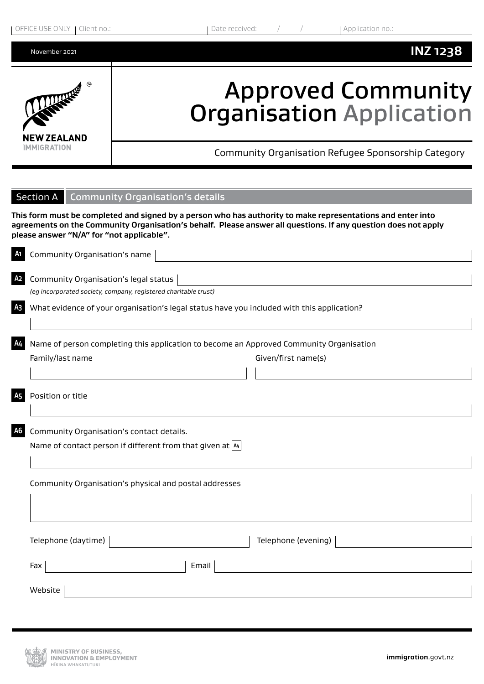| OFFICE USE ONLY   Client no.: |  |
|-------------------------------|--|
|-------------------------------|--|



## Approved Community Organisation Application

Community Organisation Refugee Sponsorship Category

|                | <b>Section A</b> Community Organisation's details                                                                                                                                                                                                                          |  |  |  |  |
|----------------|----------------------------------------------------------------------------------------------------------------------------------------------------------------------------------------------------------------------------------------------------------------------------|--|--|--|--|
|                | This form must be completed and signed by a person who has authority to make representations and enter into<br>agreements on the Community Organisation's behalf. Please answer all questions. If any question does not apply<br>please answer "N/A" for "not applicable". |  |  |  |  |
| A1 I           | Community Organisation's name<br><u> 1989 - Johann Stein, marwolaethau a bhann an t-Amhain Aonaich an t-Amhain Aonaich an t-Amhain Aonaich an t-A</u>                                                                                                                      |  |  |  |  |
| A2 I           | Community Organisation's legal status<br>(eg incorporated society, company, registered charitable trust)                                                                                                                                                                   |  |  |  |  |
| A <sub>3</sub> | What evidence of your organisation's legal status have you included with this application?                                                                                                                                                                                 |  |  |  |  |
| A4             | Name of person completing this application to become an Approved Community Organisation<br>Family/last name<br>Given/first name(s)                                                                                                                                         |  |  |  |  |
|                |                                                                                                                                                                                                                                                                            |  |  |  |  |
| <b>A5</b>      | Position or title                                                                                                                                                                                                                                                          |  |  |  |  |
| A6             | Community Organisation's contact details.<br>Name of contact person if different from that given at [44]                                                                                                                                                                   |  |  |  |  |
|                | Community Organisation's physical and postal addresses                                                                                                                                                                                                                     |  |  |  |  |
|                | Telephone (daytime)<br>Telephone (evening)<br><u> 1990 - Jan Barnett, fransk politiker</u>                                                                                                                                                                                 |  |  |  |  |
|                | Email<br>Fax                                                                                                                                                                                                                                                               |  |  |  |  |
|                | Website                                                                                                                                                                                                                                                                    |  |  |  |  |
|                |                                                                                                                                                                                                                                                                            |  |  |  |  |

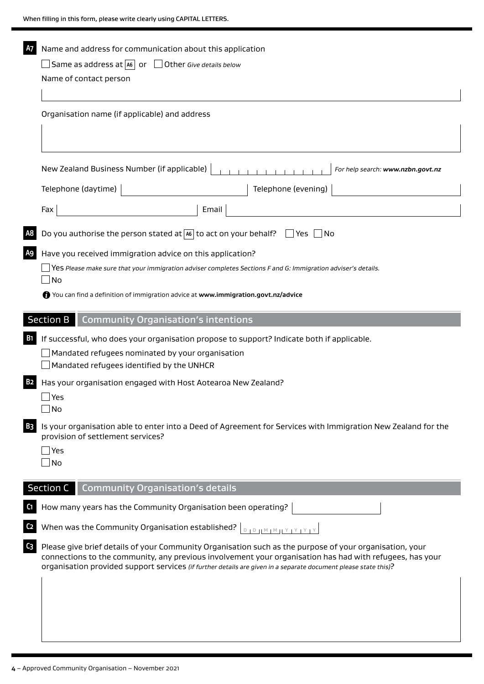| Α7<br>Name and address for communication about this application |                                                                                                                                                                                                                                                                                                                                        |  |  |  |  |  |
|-----------------------------------------------------------------|----------------------------------------------------------------------------------------------------------------------------------------------------------------------------------------------------------------------------------------------------------------------------------------------------------------------------------------|--|--|--|--|--|
|                                                                 | Same as address at $ \text{as} \text{or}$<br>Other Give details below                                                                                                                                                                                                                                                                  |  |  |  |  |  |
|                                                                 | Name of contact person                                                                                                                                                                                                                                                                                                                 |  |  |  |  |  |
| Organisation name (if applicable) and address                   |                                                                                                                                                                                                                                                                                                                                        |  |  |  |  |  |
|                                                                 | New Zealand Business Number (if applicable)<br>For help search: www.nzbn.govt.nz                                                                                                                                                                                                                                                       |  |  |  |  |  |
|                                                                 | Telephone (daytime)<br>Telephone (evening)                                                                                                                                                                                                                                                                                             |  |  |  |  |  |
|                                                                 | Fax<br>Email                                                                                                                                                                                                                                                                                                                           |  |  |  |  |  |
|                                                                 | Do you authorise the person stated at $ 46 $ to act on your behalf?<br>$\Box$ Yes $\Box$ No                                                                                                                                                                                                                                            |  |  |  |  |  |
| A9                                                              | Have you received immigration advice on this application?                                                                                                                                                                                                                                                                              |  |  |  |  |  |
|                                                                 | Yes Please make sure that your immigration adviser completes Sections F and G: Immigration adviser's details.<br>No                                                                                                                                                                                                                    |  |  |  |  |  |
|                                                                 | You can find a definition of immigration advice at www.immigration.govt.nz/advice                                                                                                                                                                                                                                                      |  |  |  |  |  |
|                                                                 | Section B<br><b>Community Organisation's intentions</b>                                                                                                                                                                                                                                                                                |  |  |  |  |  |
| <b>B1</b>                                                       | If successful, who does your organisation propose to support? Indicate both if applicable.                                                                                                                                                                                                                                             |  |  |  |  |  |
|                                                                 | Mandated refugees nominated by your organisation<br>Mandated refugees identified by the UNHCR                                                                                                                                                                                                                                          |  |  |  |  |  |
| <b>B2</b>                                                       | Has your organisation engaged with Host Aotearoa New Zealand?                                                                                                                                                                                                                                                                          |  |  |  |  |  |
|                                                                 | Yes<br>No                                                                                                                                                                                                                                                                                                                              |  |  |  |  |  |
| <b>B3</b>                                                       | Is your organisation able to enter into a Deed of Agreement for Services with Immigration New Zealand for the<br>provision of settlement services?<br>Yes                                                                                                                                                                              |  |  |  |  |  |
|                                                                 | No                                                                                                                                                                                                                                                                                                                                     |  |  |  |  |  |
|                                                                 | <b>Community Organisation's details</b><br><b>Section C</b>                                                                                                                                                                                                                                                                            |  |  |  |  |  |
| C1                                                              | How many years has the Community Organisation been operating?                                                                                                                                                                                                                                                                          |  |  |  |  |  |
| C2                                                              | When was the Community Organisation established? $\lfloor \frac{D+D+ M+M + Y + Y + Y }{D+D+ M+M + Y + Y + Y }$                                                                                                                                                                                                                         |  |  |  |  |  |
| C <sub>3</sub>                                                  | Please give brief details of your Community Organisation such as the purpose of your organisation, your<br>connections to the community, any previous involvement your organisation has had with refugees, has your<br>organisation provided support services (if further details are given in a separate document please state this)? |  |  |  |  |  |
|                                                                 |                                                                                                                                                                                                                                                                                                                                        |  |  |  |  |  |
|                                                                 |                                                                                                                                                                                                                                                                                                                                        |  |  |  |  |  |
|                                                                 |                                                                                                                                                                                                                                                                                                                                        |  |  |  |  |  |
|                                                                 |                                                                                                                                                                                                                                                                                                                                        |  |  |  |  |  |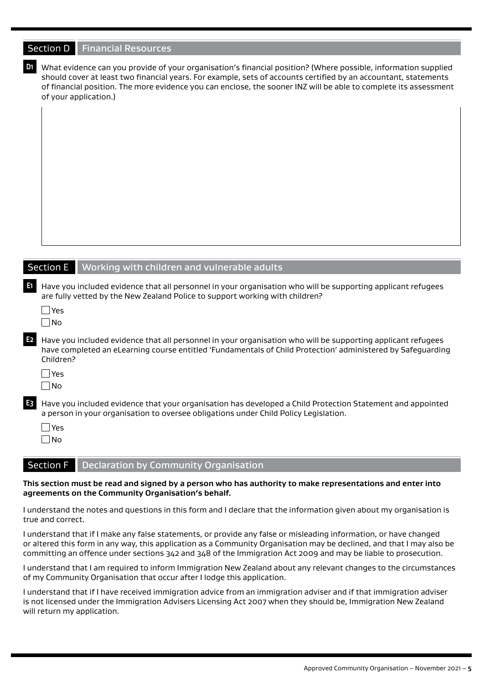|                | Section D   Financial Resources                                                                                                                                                                                                                                                                                                                                                |
|----------------|--------------------------------------------------------------------------------------------------------------------------------------------------------------------------------------------------------------------------------------------------------------------------------------------------------------------------------------------------------------------------------|
| D1             | What evidence can you provide of your organisation's financial position? (Where possible, information supplied<br>should cover at least two financial years. For example, sets of accounts certified by an accountant, statements<br>of financial position. The more evidence you can enclose, the sooner INZ will be able to complete its assessment<br>of your application.) |
|                |                                                                                                                                                                                                                                                                                                                                                                                |
|                |                                                                                                                                                                                                                                                                                                                                                                                |
|                |                                                                                                                                                                                                                                                                                                                                                                                |
|                |                                                                                                                                                                                                                                                                                                                                                                                |
|                | Section E   Working with children and vulnerable adults                                                                                                                                                                                                                                                                                                                        |
| E1.            | Have you included evidence that all personnel in your organisation who will be supporting applicant refugees<br>are fully vetted by the New Zealand Police to support working with children?<br>$\Box$ Yes<br>$\Box$ No                                                                                                                                                        |
| E <sub>2</sub> | Have you included evidence that all personnel in your organisation who will be supporting applicant refugees<br>have completed an eLearning course entitled 'Fundamentals of Child Protection' administered by Safeguarding<br>Children?<br>$\Box$ Yes                                                                                                                         |
|                | $\Box$ No                                                                                                                                                                                                                                                                                                                                                                      |
| E <sub>3</sub> | Have you included evidence that your organisation has developed a Child Protection Statement and appointed<br>a person in your organisation to oversee obligations under Child Policy Legislation.<br>$\Box$ Yes<br>$\Box$ No                                                                                                                                                  |
|                | <b>Section F</b><br><b>Declaration by Community Organisation</b>                                                                                                                                                                                                                                                                                                               |

## **This section must be read and signed by a person who has authority to make representations and enter into agreements on the Community Organisation's behalf.**

I understand the notes and questions in this form and I declare that the information given about my organisation is true and correct.

I understand that if I make any false statements, or provide any false or misleading information, or have changed or altered this form in any way, this application as a Community Organisation may be declined, and that I may also be committing an offence under sections 342 and 348 of the Immigration Act 2009 and may be liable to prosecution.

I understand that I am required to inform Immigration New Zealand about any relevant changes to the circumstances of my Community Organisation that occur after I lodge this application.

I understand that if I have received immigration advice from an immigration adviser and if that immigration adviser is not licensed under the Immigration Advisers Licensing Act 2007 when they should be, Immigration New Zealand will return my application.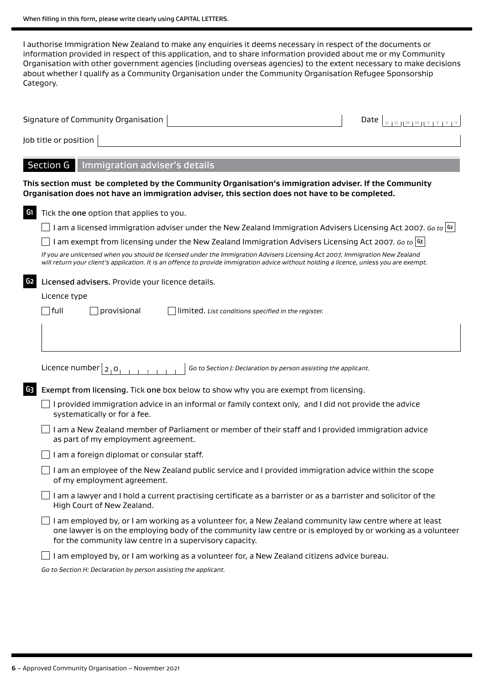I authorise Immigration New Zealand to make any enquiries it deems necessary in respect of the documents or information provided in respect of this application, and to share information provided about me or my Community Organisation with other government agencies (including overseas agencies) to the extent necessary to make decisions about whether I qualify as a Community Organisation under the Community Organisation Refugee Sponsorship Category.

|                | Signature of Community Organisation<br>Date<br><b>ID HM IM HY IY</b>                                                                                                                                                                                                              |  |  |  |  |  |  |
|----------------|-----------------------------------------------------------------------------------------------------------------------------------------------------------------------------------------------------------------------------------------------------------------------------------|--|--|--|--|--|--|
|                | Job title or position                                                                                                                                                                                                                                                             |  |  |  |  |  |  |
|                | <b>Section G</b><br>Immigration adviser's details                                                                                                                                                                                                                                 |  |  |  |  |  |  |
|                | This section must be completed by the Community Organisation's immigration adviser. If the Community<br>Organisation does not have an immigration adviser, this section does not have to be completed.                                                                            |  |  |  |  |  |  |
| G <sub>1</sub> | Tick the one option that applies to you.                                                                                                                                                                                                                                          |  |  |  |  |  |  |
|                | I am a licensed immigration adviser under the New Zealand Immigration Advisers Licensing Act 2007. Go to $\left  \mathfrak{S} \right $                                                                                                                                            |  |  |  |  |  |  |
|                | am exempt from licensing under the New Zealand Immigration Advisers Licensing Act 2007. Go to $ 63 $                                                                                                                                                                              |  |  |  |  |  |  |
|                | If you are unlicensed when you should be licensed under the Immigration Advisers Licensing Act 2007, Immigration New Zealand<br>will return your client's application. It is an offence to provide immigration advice without holding a licence, unless you are exempt.           |  |  |  |  |  |  |
| G <sub>2</sub> | Licensed advisers. Provide your licence details.                                                                                                                                                                                                                                  |  |  |  |  |  |  |
| Licence type   |                                                                                                                                                                                                                                                                                   |  |  |  |  |  |  |
|                | full<br>provisional<br>limited. List conditions specified in the register.                                                                                                                                                                                                        |  |  |  |  |  |  |
|                |                                                                                                                                                                                                                                                                                   |  |  |  |  |  |  |
|                | Licence number $ _2$ o<br>Go to Section J: Declaration by person assisting the applicant.                                                                                                                                                                                         |  |  |  |  |  |  |
| G <sub>3</sub> | Exempt from licensing. Tick one box below to show why you are exempt from licensing.                                                                                                                                                                                              |  |  |  |  |  |  |
|                | I provided immigration advice in an informal or family context only, and I did not provide the advice<br>systematically or for a fee.                                                                                                                                             |  |  |  |  |  |  |
|                | I am a New Zealand member of Parliament or member of their staff and I provided immigration advice<br>as part of my employment agreement.                                                                                                                                         |  |  |  |  |  |  |
|                | I am a foreign diplomat or consular staff.                                                                                                                                                                                                                                        |  |  |  |  |  |  |
|                | am an employee of the New Zealand public service and I provided immigration advice within the scope<br>of my employment agreement.                                                                                                                                                |  |  |  |  |  |  |
|                | I am a lawyer and I hold a current practising certificate as a barrister or as a barrister and solicitor of the<br>High Court of New Zealand.                                                                                                                                     |  |  |  |  |  |  |
|                | I am employed by, or I am working as a volunteer for, a New Zealand community law centre where at least<br>one lawyer is on the employing body of the community law centre or is employed by or working as a volunteer<br>for the community law centre in a supervisory capacity. |  |  |  |  |  |  |
|                | I am employed by, or I am working as a volunteer for, a New Zealand citizens advice bureau.                                                                                                                                                                                       |  |  |  |  |  |  |
|                | Go to Section H: Declaration by person assisting the applicant.                                                                                                                                                                                                                   |  |  |  |  |  |  |
|                |                                                                                                                                                                                                                                                                                   |  |  |  |  |  |  |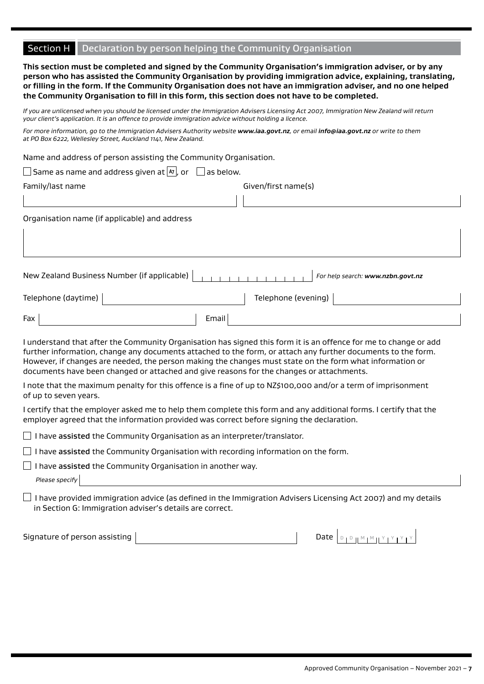## Section H Declaration by person helping the Community Organisation

**This section must be completed and signed by the Community Organisation's immigration adviser, or by any person who has assisted the Community Organisation by providing immigration advice, explaining, translating, or filling in the form. If the Community Organisation does not have an immigration adviser, and no one helped the Community Organisation to fill in this form, this section does not have to be completed.**

*If you are unlicensed when you should be licensed under the Immigration Advisers Licensing Act 2007, Immigration New Zealand will return your client's application. It is an offence to provide immigration advice without holding a licence.*

*For more information, go to the Immigration Advisers Authority website <www.iaa.govt.nz>, or email [info@iaa.govt.nz](mailto:info@iaa.govt.nz) or write to them at PO Box 6222, Wellesley Street, Auckland 1141, New Zealand.*

Name and address of person assisting the Community Organisation.

| ] Same as name and address given at $ \hspace{-.02in} $ $\hspace{-.02in}$ or $\hspace{-.02in}$ as below. |  |  |
|----------------------------------------------------------------------------------------------------------|--|--|
|                                                                                                          |  |  |

| Family/last name                              | Given/first name(s)               |  |
|-----------------------------------------------|-----------------------------------|--|
|                                               |                                   |  |
| Organisation name (if applicable) and address |                                   |  |
|                                               |                                   |  |
| New Zealand Business Number (if applicable)   | For help search: www.nzbn.govt.nz |  |

| Telephone (daytime) |       | Telephone (evening) |  |
|---------------------|-------|---------------------|--|
| Fax                 | Email |                     |  |

I understand that after the Community Organisation has signed this form it is an offence for me to change or add further information, change any documents attached to the form, or attach any further documents to the form. However, if changes are needed, the person making the changes must state on the form what information or documents have been changed or attached and give reasons for the changes or attachments.

I note that the maximum penalty for this offence is a fine of up to NZ\$100,000 and/or a term of imprisonment of up to seven years.

I certify that the employer asked me to help them complete this form and any additional forms. I certify that the employer agreed that the information provided was correct before signing the declaration.

 $\Box$  I have assisted the Community Organisation as an interpreter/translator.

 $\Box$  I have assisted the Community Organisation with recording information on the form.

 $\Box$  I have assisted the Community Organisation in another way.

*Please specify*

 $\Box$  I have provided immigration advice (as defined in the Immigration Advisers Licensing Act 2007) and my details in Section G: Immigration adviser's details are correct.

Signature of person assisting Date D <sup>D</sup> <sup>M</sup> <sup>M</sup> <sup>Y</sup> <sup>Y</sup> <sup>Y</sup> <sup>Y</sup>